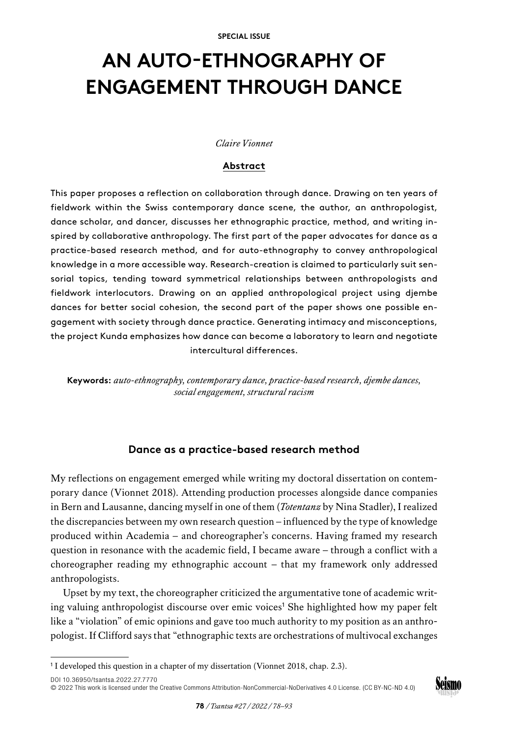# **AN AUTO-ETHNOGRAPHY OF ENGAGEMENT THROUGH DANCE**

## *Claire Vionnet*

## **Abstract**

This paper proposes a reflection on collaboration through dance. Drawing on ten years of fieldwork within the Swiss contemporary dance scene, the author, an anthropologist, dance scholar, and dancer, discusses her ethnographic practice, method, and writing inspired by collaborative anthropology. The first part of the paper advocates for dance as a practice-based research method, and for auto-ethnography to convey anthropological knowledge in a more accessible way. Research-creation is claimed to particularly suit sensorial topics, tending toward symmetrical relationships between anthropologists and fieldwork interlocutors. Drawing on an applied anthropological project using djembe dances for better social cohesion, the second part of the paper shows one possible engagement with society through dance practice. Generating intimacy and misconceptions, the project Kunda emphasizes how dance can become a laboratory to learn and negotiate intercultural differences.

**Keywords:** *auto-ethnography, contemporary dance, practice-based research, djembe dances, social engagement, structural racism*

## **Dance as a practice-based research method**

My reflections on engagement emerged while writing my doctoral dissertation on contemporary dance (Vionnet 2018). Attending production processes alongside dance companies in Bern and Lausanne, dancing myself in one of them (*Totentanz* by Nina Stadler), I realized the discrepancies between my own research question – influenced by the type of knowledge produced within Academia – and choreographer's concerns. Having framed my research question in resonance with the academic field, I became aware – through a conflict with a choreographer reading my ethnographic account – that my framework only addressed anthropologists.

Upset by my text, the choreographer criticized the argumentative tone of academic writing valuing anthropologist discourse over emic voices<sup>1</sup> She highlighted how my paper felt like a "violation" of emic opinions and gave too much authority to my position as an anthropologist. If Clifford says that "ethnographic texts are orchestrations of multivocal exchanges

[DOI 10.36950/tsantsa.2022.27.7770](https://doi.org/10.36950/tsantsa.2022.27.7770) [© 2022 This work is licensed under the Creative Commons Attribution-NonCommercial-NoDerivatives 4.0 License. \(CC BY-NC-ND 4.0\)](https://creativecommons.org/licenses/by-nc-nd/4.0/deed.en)



<sup>&</sup>lt;sup>1</sup> I developed this question in a chapter of my dissertation (Vionnet 2018, chap. 2.3).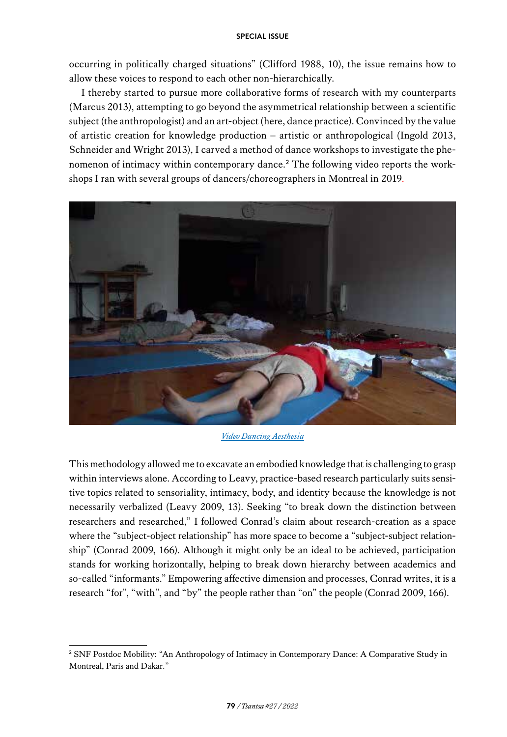occurring in politically charged situations" (Clifford 1988, 10), the issue remains how to allow these voices to respond to each other non-hierarchically.

I thereby started to pursue more collaborative forms of research with my counterparts (Marcus 2013), attempting to go beyond the asymmetrical relationship between a scientific subject (the anthropologist) and an art-object (here, dance practice). Convinced by the value of artistic creation for knowledge production – artistic or anthropological (Ingold 2013, Schneider and Wright 2013), I carved a method of dance workshops to investigate the phenomenon of intimacy within contemporary dance.<sup>2</sup> The following video reports the workshops I ran with several groups of dancers/choreographers in Montreal in 2019.



*[Video Dancing Aesthesia](https://tube.switch.ch/videos/ccgOi9A8Bk)*

This methodology allowed me to excavate an embodied knowledge that is challenging to grasp within interviews alone. According to Leavy, practice-based research particularly suits sensitive topics related to sensoriality, intimacy, body, and identity because the knowledge is not necessarily verbalized (Leavy 2009, 13). Seeking "to break down the distinction between researchers and researched," I followed Conrad's claim about research-creation as a space where the "subject-object relationship" has more space to become a "subject-subject relationship" (Conrad 2009, 166). Although it might only be an ideal to be achieved, participation stands for working horizontally, helping to break down hierarchy between academics and so-called "informants." Empowering affective dimension and processes, Conrad writes, it is a research "for", "with", and "by" the people rather than "on" the people (Conrad 2009, 166).

<sup>&</sup>lt;sup>2</sup> SNF Postdoc Mobility: "An Anthropology of Intimacy in Contemporary Dance: A Comparative Study in Montreal, Paris and Dakar."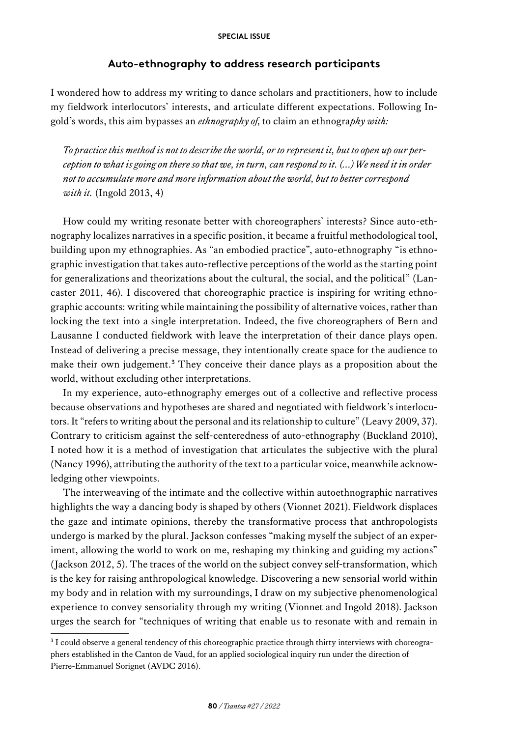# **Auto-ethnography to address research participants**

I wondered how to address my writing to dance scholars and practitioners, how to include my fieldwork interlocutors' interests, and articulate different expectations. Following Ingold's words, this aim bypasses an *ethnography of,* to claim an ethnogra*phy with:*

*To practice this method is not to describe the world, or to represent it, but to open up our perception to what is going on there so that we, in turn, can respond to it. (…)We need it in order not to accumulate more and more information about the world, but to better correspond with it.* (Ingold 2013, 4)

How could my writing resonate better with choreographers' interests? Since auto-ethnography localizes narratives in a specific position, it became a fruitful methodological tool, building upon my ethnographies. As "an embodied practice", auto-ethnography "is ethnographic investigation that takes auto-reflective perceptions of the world as the starting point for generalizations and theorizations about the cultural, the social, and the political" (Lancaster 2011, 46). I discovered that choreographic practice is inspiring for writing ethnographic accounts: writing while maintaining the possibility of alternative voices, rather than locking the text into a single interpretation. Indeed, the five choreographers of Bern and Lausanne I conducted fieldwork with leave the interpretation of their dance plays open. Instead of delivering a precise message, they intentionally create space for the audience to make their own judgement.<sup>3</sup> They conceive their dance plays as a proposition about the world, without excluding other interpretations.

In my experience, auto-ethnography emerges out of a collective and reflective process because observations and hypotheses are shared and negotiated with fieldwork's interlocutors. It "refers to writing about the personal and its relationship to culture" (Leavy 2009, 37). Contrary to criticism against the self-centeredness of auto-ethnography (Buckland 2010), I noted how it is a method of investigation that articulates the subjective with the plural (Nancy 1996), attributing the authority of the text to a particular voice, meanwhile acknowledging other viewpoints.

The interweaving of the intimate and the collective within autoethnographic narratives highlights the way a dancing body is shaped by others (Vionnet 2021). Fieldwork displaces the gaze and intimate opinions, thereby the transformative process that anthropologists undergo is marked by the plural. Jackson confesses "making myself the subject of an experiment, allowing the world to work on me, reshaping my thinking and guiding my actions" (Jackson 2012, 5). The traces of the world on the subject convey self-transformation, which is the key for raising anthropological knowledge. Discovering a new sensorial world within my body and in relation with my surroundings, I draw on my subjective phenomenological experience to convey sensoriality through my writing (Vionnet and Ingold 2018). Jackson urges the search for "techniques of writing that enable us to resonate with and remain in

<sup>&</sup>lt;sup>3</sup> I could observe a general tendency of this choreographic practice through thirty interviews with choreographers established in the Canton de Vaud, for an applied sociological inquiry run under the direction of Pierre-Emmanuel Sorignet (AVDC 2016).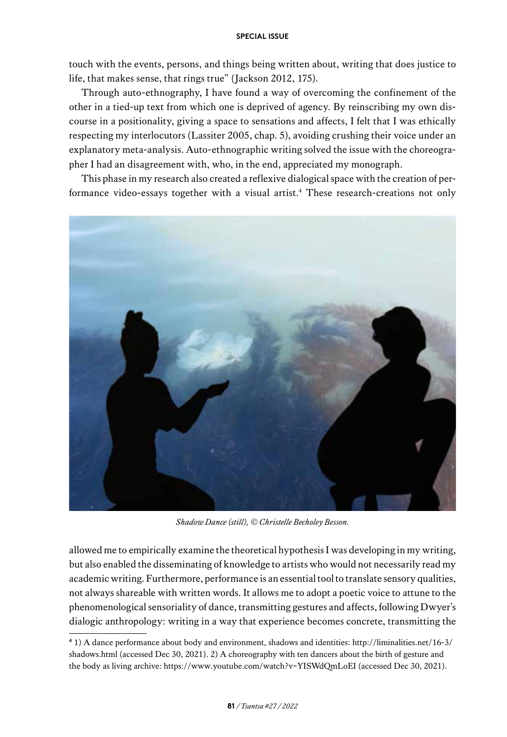touch with the events, persons, and things being written about, writing that does justice to life, that makes sense, that rings true" (Jackson 2012, 175).

Through auto-ethnography, I have found a way of overcoming the confinement of the other in a tied-up text from which one is deprived of agency. By reinscribing my own discourse in a positionality, giving a space to sensations and affects, I felt that I was ethically respecting my interlocutors (Lassiter 2005, chap. 5), avoiding crushing their voice under an explanatory meta-analysis. Auto-ethnographic writing solved the issue with the choreographer I had an disagreement with, who, in the end, appreciated my monograph.

This phase in my research also created a reflexive dialogical space with the creation of performance video-essays together with a visual artist.4 These research-creations not only



*Shadow Dance (still), © Christelle Becholey Besson.*

allowed me to empirically examine the theoretical hypothesis I was developing in my writing, but also enabled the disseminating of knowledge to artists who would not necessarily read my academic writing. Furthermore, performance is an essential tool to translate sensory qualities, not always shareable with written words. It allows me to adopt a poetic voice to attune to the phenomenological sensoriality of dance, transmitting gestures and affects, following Dwyer's dialogic anthropology: writing in a way that experience becomes concrete, transmitting the

<sup>4</sup> 1) A dance performance about body and environment, shadows and identities: [http://liminalities.net/16-3/](http://liminalities.net/16-3/shadows.html) [shadows.html](http://liminalities.net/16-3/shadows.html) (accessed Dec 30, 2021). 2) A choreography with ten dancers about the birth of gesture and the body as living archive: <https://www.youtube.com/watch?v=YISWdQmLoEI>(accessed Dec 30, 2021).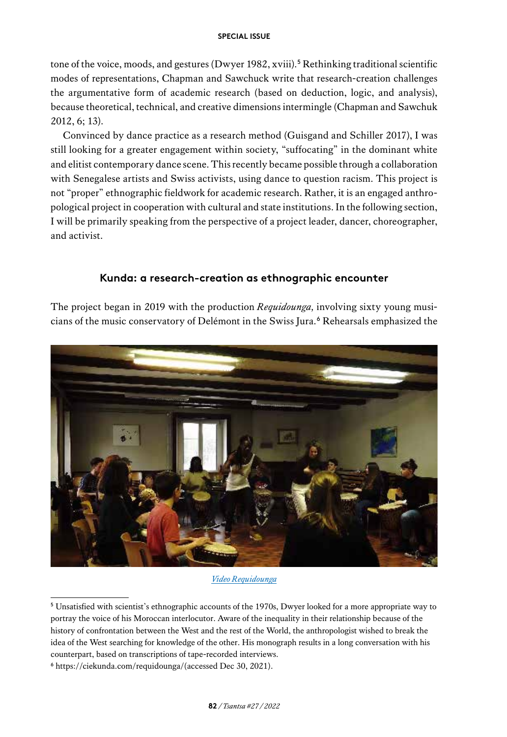tone of the voice, moods, and gestures (Dwyer 1982, xviii).<sup>5</sup> Rethinking traditional scientific modes of representations, Chapman and Sawchuck write that research-creation challenges the argumentative form of academic research (based on deduction, logic, and analysis), because theoretical, technical, and creative dimensions intermingle (Chapman and Sawchuk 2012, 6; 13).

Convinced by dance practice as a research method (Guisgand and Schiller 2017), I was still looking for a greater engagement within society, "suffocating" in the dominant white and elitist contemporary dance scene. This recently became possible through a collaboration with Senegalese artists and Swiss activists, using dance to question racism. This project is not "proper" ethnographic fieldwork for academic research. Rather, it is an engaged anthropological project in cooperation with cultural and state institutions. In the following section, I will be primarily speaking from the perspective of a project leader, dancer, choreographer, and activist.

# **Kunda: a research-creation as ethnographic encounter**

The project began in 2019 with the production *Requidounga,* involving sixty young musicians of the music conservatory of Delémont in the Swiss Jura.<sup>6</sup> Rehearsals emphasized the



*[Video Requidounga](https://tube.switch.ch/videos/5y5XZmxNkE)*

<sup>&</sup>lt;sup>5</sup> Unsatisfied with scientist's ethnographic accounts of the 1970s, Dwyer looked for a more appropriate way to portray the voice of his Moroccan interlocutor. Aware of the inequality in their relationship because of the history of confrontation between the West and the rest of the World, the anthropologist wished to break the idea of the West searching for knowledge of the other. His monograph results in a long conversation with his counterpart, based on transcriptions of tape-recorded interviews.

<sup>6</sup><https://ciekunda.com/requidounga/>(accessed Dec 30, 2021).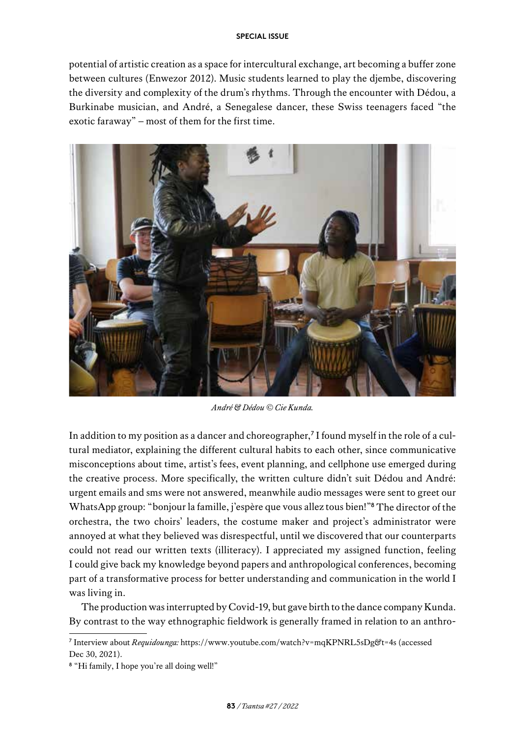potential of artistic creation as a space for intercultural exchange, art becoming a buffer zone between cultures (Enwezor 2012). Music students learned to play the djembe, discovering the diversity and complexity of the drum's rhythms. Through the encounter with Dédou, a Burkinabe musician, and André, a Senegalese dancer, these Swiss teenagers faced "the exotic faraway" – most of them for the first time.



*André & Dédou © Cie Kunda.*

In addition to my position as a dancer and choreographer, $\hbox{7}$  I found myself in the role of a cultural mediator, explaining the different cultural habits to each other, since communicative misconceptions about time, artist's fees, event planning, and cellphone use emerged during the creative process. More specifically, the written culture didn't suit Dédou and André: urgent emails and sms were not answered, meanwhile audio messages were sent to greet our WhatsApp group: "bonjour la famille, j'espère que vous allez tous bien!"<sup>8</sup> The director of the orchestra, the two choirs' leaders, the costume maker and project's administrator were annoyed at what they believed was disrespectful, until we discovered that our counterparts could not read our written texts (illiteracy). I appreciated my assigned function, feeling I could give back my knowledge beyond papers and anthropological conferences, becoming part of a transformative process for better understanding and communication in the world I was living in.

The production was interrupted by Covid-19, but gave birth to the dance company Kunda. By contrast to the way ethnographic fieldwork is generally framed in relation to an anthro-

<sup>7</sup> Interview about *Requidounga:* <https://www.youtube.com/watch?v=mqKPNRL5sDg&t=4s>(accessed Dec 30, 2021).

<sup>8</sup> "Hi family, I hope you're all doing well!"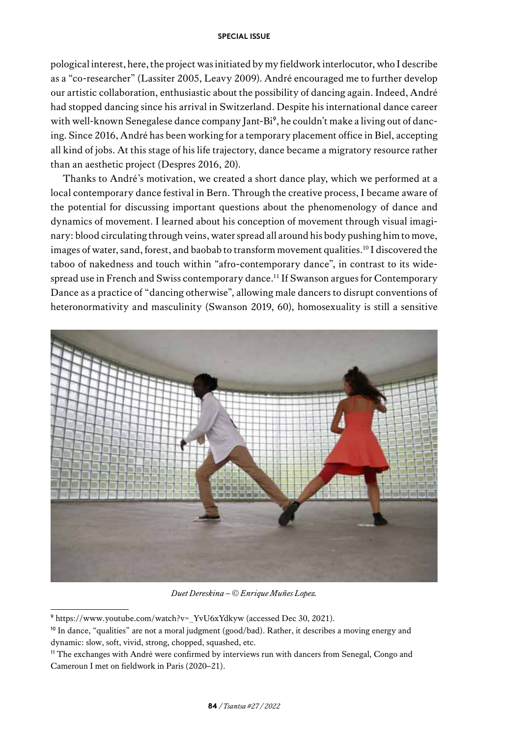pological interest, here, the project was initiated by my fieldwork interlocutor, who I describe as a "co-researcher" (Lassiter 2005, Leavy 2009). André encouraged me to further develop our artistic collaboration, enthusiastic about the possibility of dancing again. Indeed, André had stopped dancing since his arrival in Switzerland. Despite his international dance career with well-known Senegalese dance company Jant-Bi<sup>9</sup>, he couldn't make a living out of dancing. Since 2016, André has been working for a temporary placement office in Biel, accepting all kind of jobs. At this stage of his life trajectory, dance became a migratory resource rather than an aesthetic project (Despres 2016, 20).

Thanks to André's motivation, we created a short dance play, which we performed at a local contemporary dance festival in Bern. Through the creative process, I became aware of the potential for discussing important questions about the phenomenology of dance and dynamics of movement. I learned about his conception of movement through visual imaginary: blood circulating through veins, water spread all around his body pushing him to move, images of water, sand, forest, and baobab to transform movement qualities.<sup>10</sup> I discovered the taboo of nakedness and touch within "afro-contemporary dance", in contrast to its widespread use in French and Swiss contemporary dance.11 If Swanson argues for Contemporary Dance as a practice of "dancing otherwise", allowing male dancers to disrupt conventions of heteronormativity and masculinity (Swanson 2019, 60), homosexuality is still a sensitive



*Duet Dereskina – © Enrique Muñes Lopez.*

<sup>9</sup> [https://www.youtube.com/watch?v=\\_YvU6xYdkyw](https://www.youtube.com/watch?v=_YvU6xYdkyw) (accessed Dec 30, 2021).

<sup>10</sup> In dance, "qualities" are not a moral judgment (good/bad). Rather, it describes a moving energy and dynamic: slow, soft, vivid, strong, chopped, squashed, etc.

<sup>11</sup> The exchanges with André were confirmed by interviews run with dancers from Senegal, Congo and Cameroun I met on fieldwork in Paris (2020–21).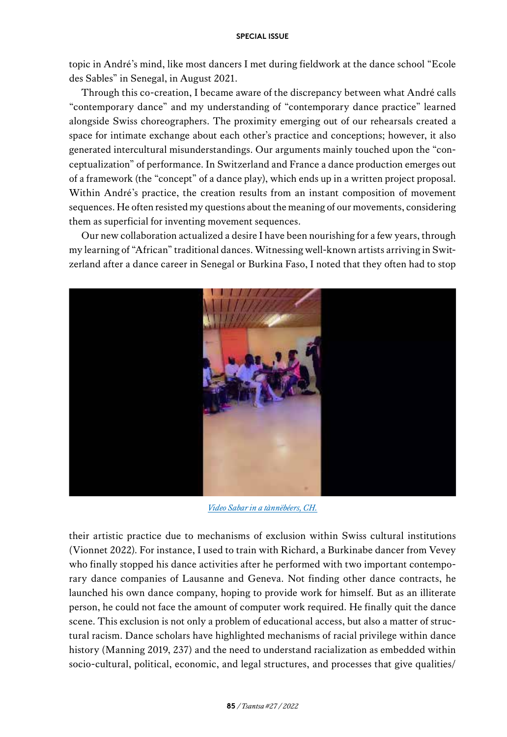topic in André's mind, like most dancers I met during fieldwork at the dance school "Ecole des Sables" in Senegal, in August 2021.

Through this co-creation, I became aware of the discrepancy between what André calls "contemporary dance" and my understanding of "contemporary dance practice" learned alongside Swiss choreographers. The proximity emerging out of our rehearsals created a space for intimate exchange about each other's practice and conceptions; however, it also generated intercultural misunderstandings. Our arguments mainly touched upon the "conceptualization" of performance. In Switzerland and France a dance production emerges out of a framework (the "concept" of a dance play), which ends up in a written project proposal. Within André's practice, the creation results from an instant composition of movement sequences. He often resisted my questions about the meaning of our movements, considering them as superficial for inventing movement sequences.

Our new collaboration actualized a desire I have been nourishing for a few years, through my learning of "African" traditional dances. Witnessing well-known artists arriving in Switzerland after a dance career in Senegal or Burkina Faso, I noted that they often had to stop



*[Video Sabar in a tànnëbéers, CH.](https://tube.switch.ch/videos/OTBiz7B3oE)*

their artistic practice due to mechanisms of exclusion within Swiss cultural institutions (Vionnet 2022). For instance, I used to train with Richard, a Burkinabe dancer from Vevey who finally stopped his dance activities after he performed with two important contemporary dance companies of Lausanne and Geneva. Not finding other dance contracts, he launched his own dance company, hoping to provide work for himself. But as an illiterate person, he could not face the amount of computer work required. He finally quit the dance scene. This exclusion is not only a problem of educational access, but also a matter of structural racism. Dance scholars have highlighted mechanisms of racial privilege within dance history (Manning 2019, 237) and the need to understand racialization as embedded within socio-cultural, political, economic, and legal structures, and processes that give qualities/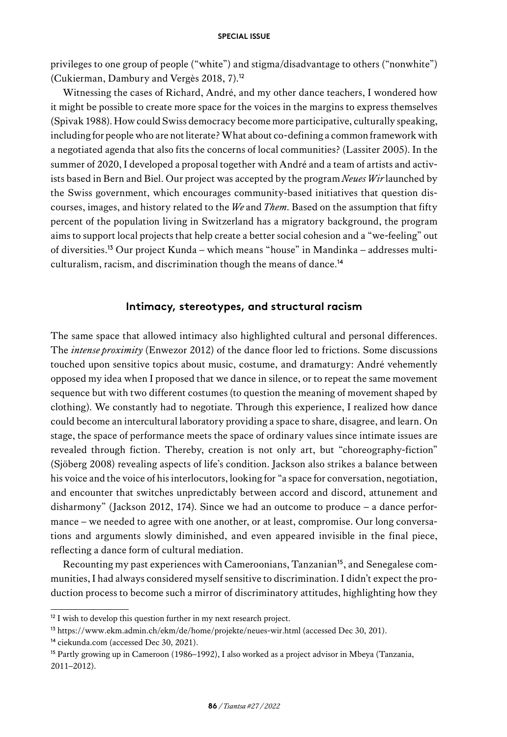privileges to one group of people ("white") and stigma/disadvantage to others ("nonwhite") (Cukierman, Dambury and Vergès 2018, 7).<sup>12</sup>

Witnessing the cases of Richard, André, and my other dance teachers, I wondered how it might be possible to create more space for the voices in the margins to express themselves (Spivak 1988). How could Swiss democracy become more participative, culturally speaking, including for people who are not literate? What about co-defining a common framework with a negotiated agenda that also fits the concerns of local communities? (Lassiter 2005). In the summer of 2020, I developed a proposal together with André and a team of artists and activists based in Bern and Biel. Our project was accepted by the program *Neues Wir* launched by the Swiss government, which encourages community-based initiatives that question discourses, images, and history related to the *We* and *Them.* Based on the assumption that fifty percent of the population living in Switzerland has a migratory background, the program aims to support local projects that help create a better social cohesion and a "we-feeling" out of diversities.13 Our project Kunda – which means "house" in Mandinka – addresses multiculturalism, racism, and discrimination though the means of dance.<sup>14</sup>

# **Intimacy, stereotypes, and structural racism**

The same space that allowed intimacy also highlighted cultural and personal differences. The *intense proximity* (Enwezor 2012) of the dance floor led to frictions. Some discussions touched upon sensitive topics about music, costume, and dramaturgy: André vehemently opposed my idea when I proposed that we dance in silence, or to repeat the same movement sequence but with two different costumes (to question the meaning of movement shaped by clothing). We constantly had to negotiate. Through this experience, I realized how dance could become an intercultural laboratory providing a space to share, disagree, and learn. On stage, the space of performance meets the space of ordinary values since intimate issues are revealed through fiction. Thereby, creation is not only art, but "choreography-fiction" (Sjöberg 2008) revealing aspects of life's condition. Jackson also strikes a balance between his voice and the voice of his interlocutors, looking for "a space for conversation, negotiation, and encounter that switches unpredictably between accord and discord, attunement and disharmony" (Jackson 2012, 174). Since we had an outcome to produce – a dance performance – we needed to agree with one another, or at least, compromise. Our long conversations and arguments slowly diminished, and even appeared invisible in the final piece, reflecting a dance form of cultural mediation.

Recounting my past experiences with Cameroonians, Tanzanian<sup>15</sup>, and Senegalese communities, I had always considered myself sensitive to discrimination. I didn't expect the production process to become such a mirror of discriminatory attitudes, highlighting how they

<sup>&</sup>lt;sup>12</sup> I wish to develop this question further in my next research project.

<sup>13</sup><https://www.ekm.admin.ch/ekm/de/home/projekte/neues-wir.html>(accessed Dec 30, 201).

<sup>14</sup> [ciekunda.com](http://ciekunda.com) (accessed Dec 30, 2021).

<sup>15</sup> Partly growing up in Cameroon (1986–1992), I also worked as a project advisor in Mbeya (Tanzania, 2011–2012).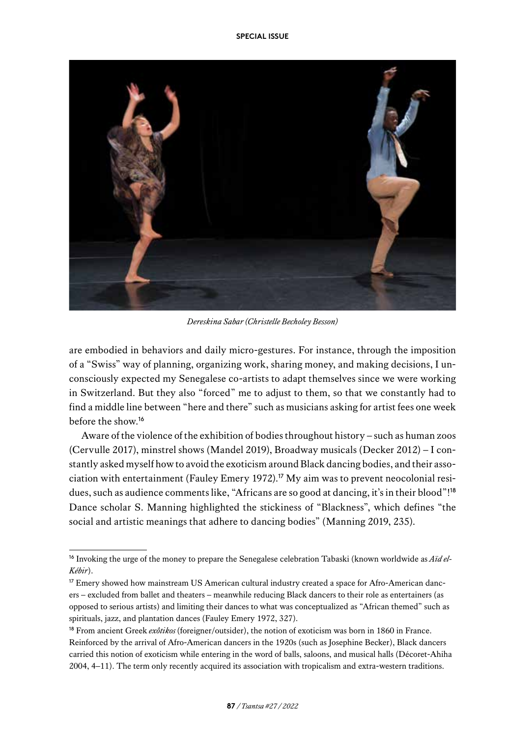

*Dereskina Sabar (Christelle Becholey Besson)*

are embodied in behaviors and daily micro-gestures. For instance, through the imposition of a "Swiss" way of planning, organizing work, sharing money, and making decisions, I unconsciously expected my Senegalese co-artists to adapt themselves since we were working in Switzerland. But they also "forced" me to adjust to them, so that we constantly had to find a middle line between "here and there" such as musicians asking for artist fees one week before the show.<sup>16</sup>

Aware of the violence of the exhibition of bodies throughout history – such as human zoos (Cervulle 2017), minstrel shows (Mandel 2019), Broadway musicals (Decker 2012) – I constantly asked myself how to avoid the exoticism around Black dancing bodies, and their association with entertainment (Fauley Emery 1972).<sup>17</sup> My aim was to prevent neocolonial residues, such as audience comments like, "Africans are so good at dancing, it's in their blood"!<sup>18</sup> Dance scholar S. Manning highlighted the stickiness of "Blackness", which defines "the social and artistic meanings that adhere to dancing bodies" (Manning 2019, 235).

<sup>&</sup>lt;sup>16</sup> Invoking the urge of the money to prepare the Senegalese celebration Tabaski (known worldwide as *Aïd el-Kébir*).

<sup>&</sup>lt;sup>17</sup> Emery showed how mainstream US American cultural industry created a space for Afro-American dancers – excluded from ballet and theaters – meanwhile reducing Black dancers to their role as entertainers (as opposed to serious artists) and limiting their dances to what was conceptualized as "African themed" such as spirituals, jazz, and plantation dances (Fauley Emery 1972, 327).

<sup>18</sup> From ancient Greek *exôtikos* (foreigner/outsider), the notion of exoticism was born in 1860 in France. Reinforced by the arrival of Afro-American dancers in the 1920s (such as Josephine Becker), Black dancers carried this notion of exoticism while entering in the word of balls, saloons, and musical halls (Décoret-Ahiha 2004, 4–11). The term only recently acquired its association with tropicalism and extra-western traditions.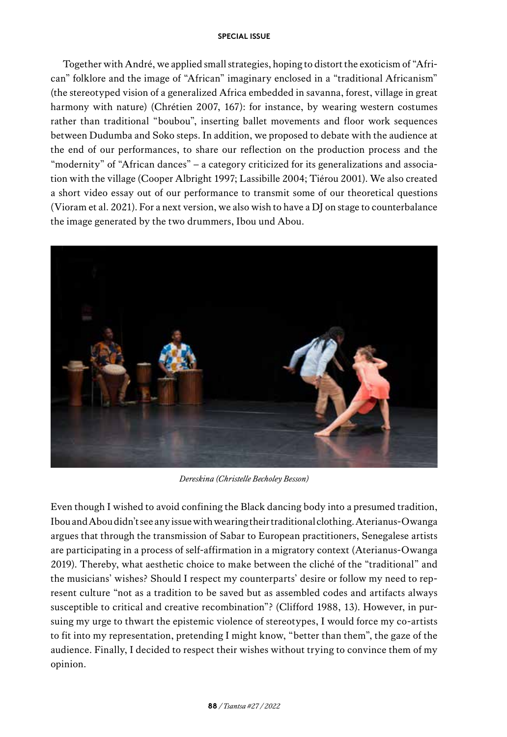Together with André, we applied small strategies, hoping to distort the exoticism of "African" folklore and the image of "African" imaginary enclosed in a "traditional Africanism" (the stereotyped vision of a generalized Africa embedded in savanna, forest, village in great harmony with nature) (Chrétien 2007, 167): for instance, by wearing western costumes rather than traditional "boubou", inserting ballet movements and floor work sequences between Dudumba and Soko steps. In addition, we proposed to debate with the audience at the end of our performances, to share our reflection on the production process and the "modernity" of "African dances" – a category criticized for its generalizations and association with the village (Cooper Albright 1997; Lassibille 2004; Tiérou 2001). We also created a short video essay out of our performance to transmit some of our theoretical questions (Vioram et al. 2021). For a next version, we also wish to have a DJ on stage to counterbalance the image generated by the two drummers, Ibou und Abou.



*Dereskina (Christelle Becholey Besson)*

Even though I wished to avoid confining the Black dancing body into a presumed tradition, Ibou and Abou didn't see any issue with wearing their traditional clothing. Aterianus-Owanga argues that through the transmission of Sabar to European practitioners, Senegalese artists are participating in a process of self-affirmation in a migratory context (Aterianus-Owanga 2019). Thereby, what aesthetic choice to make between the cliché of the "traditional" and the musicians' wishes? Should I respect my counterparts' desire or follow my need to represent culture "not as a tradition to be saved but as assembled codes and artifacts always susceptible to critical and creative recombination"? (Clifford 1988, 13). However, in pursuing my urge to thwart the epistemic violence of stereotypes, I would force my co-artists to fit into my representation, pretending I might know, "better than them", the gaze of the audience. Finally, I decided to respect their wishes without trying to convince them of my opinion.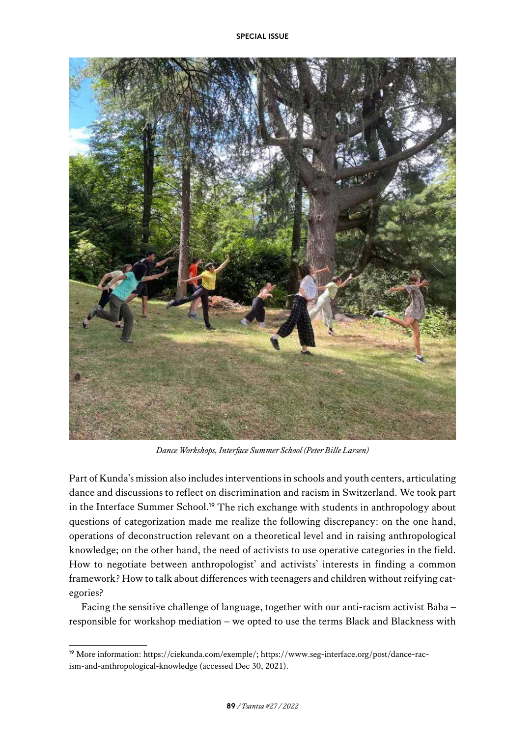

*Dance Workshops, Interface Summer School (Peter Bille Larsen)*

Part of Kunda's mission also includes interventions in schools and youth centers, articulating dance and discussions to reflect on discrimination and racism in Switzerland. We took part in the Interface Summer School.<sup>19</sup> The rich exchange with students in anthropology about questions of categorization made me realize the following discrepancy: on the one hand, operations of deconstruction relevant on a theoretical level and in raising anthropological knowledge; on the other hand, the need of activists to use operative categories in the field. How to negotiate between anthropologist' and activists' interests in finding a common framework? How to talk about differences with teenagers and children without reifying categories?

Facing the sensitive challenge of language, together with our anti-racism activist Baba – responsible for workshop mediation – we opted to use the terms Black and Blackness with

<sup>19</sup> More information: [https://ciekunda.com/exemple/;](https://ciekunda.com/exemple/) [https://www.seg-interface.org/post/dance-rac](https://www.seg-interface.org/post/dance-racism-and-anthropological-knowledge)[ism-and-anthropological-knowledge](https://www.seg-interface.org/post/dance-racism-and-anthropological-knowledge) (accessed Dec 30, 2021).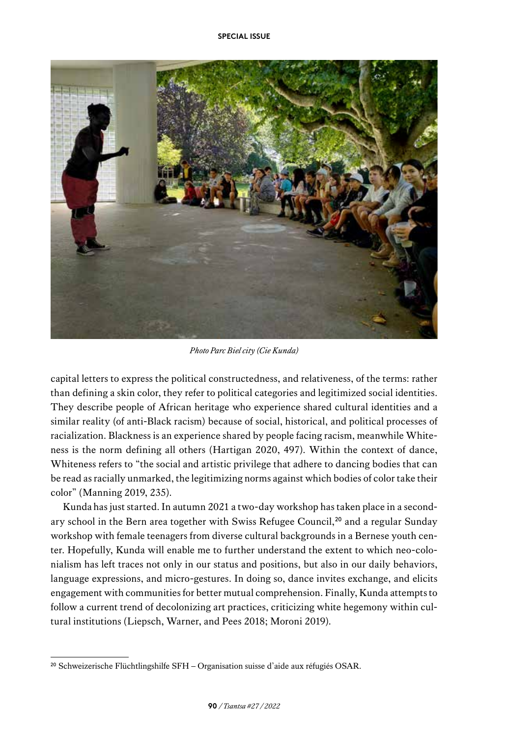

*Photo Parc Biel city (Cie Kunda)*

capital letters to express the political constructedness, and relativeness, of the terms: rather than defining a skin color, they refer to political categories and legitimized social identities. They describe people of African heritage who experience shared cultural identities and a similar reality (of anti-Black racism) because of social, historical, and political processes of racialization. Blackness is an experience shared by people facing racism, meanwhile Whiteness is the norm defining all others (Hartigan 2020, 497). Within the context of dance, Whiteness refers to "the social and artistic privilege that adhere to dancing bodies that can be read as racially unmarked, the legitimizing norms against which bodies of color take their color" (Manning 2019, 235).

Kunda has just started. In autumn 2021 a two-day workshop has taken place in a secondary school in the Bern area together with Swiss Refugee Council,<sup>20</sup> and a regular Sunday workshop with female teenagers from diverse cultural backgrounds in a Bernese youth center. Hopefully, Kunda will enable me to further understand the extent to which neo-colonialism has left traces not only in our status and positions, but also in our daily behaviors, language expressions, and micro-gestures. In doing so, dance invites exchange, and elicits engagement with communities for better mutual comprehension. Finally, Kunda attempts to follow a current trend of decolonizing art practices, criticizing white hegemony within cultural institutions (Liepsch, Warner, and Pees 2018; Moroni 2019).

<sup>20</sup> Schweizerische Flüchtlingshilfe SFH – Organisation suisse d'aide aux réfugiés OSAR.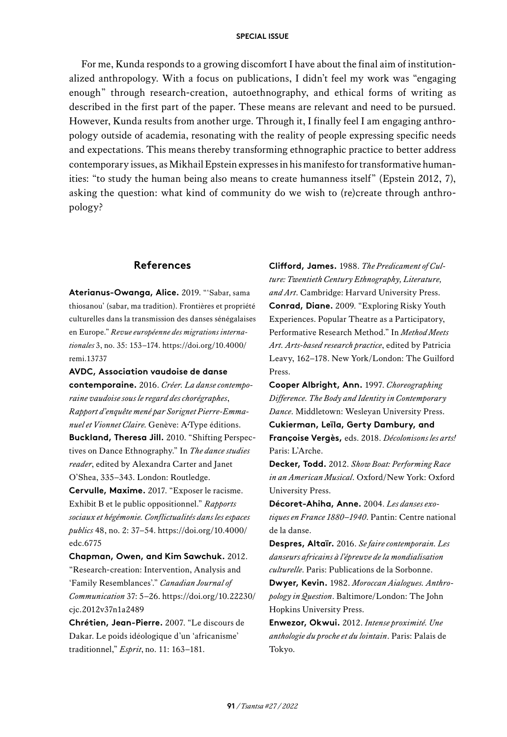For me, Kunda responds to a growing discomfort I have about the final aim of institutionalized anthropology. With a focus on publications, I didn't feel my work was "engaging enough" through research-creation, autoethnography, and ethical forms of writing as described in the first part of the paper. These means are relevant and need to be pursued. However, Kunda results from another urge. Through it, I finally feel I am engaging anthropology outside of academia, resonating with the reality of people expressing specific needs and expectations. This means thereby transforming ethnographic practice to better address contemporary issues, as Mikhail Epstein expresses in his manifesto for transformative humanities: "to study the human being also means to create humanness itself" (Epstein 2012, 7), asking the question: what kind of community do we wish to (re)create through anthropology?

# **References**

**Aterianus-Owanga, Alice.** 2019. "'Sabar, sama thiosanou' (sabar, ma tradition). Frontières et propriété culturelles dans la transmission des danses sénégalaises en Europe." *Revue européenne des migrations internationales* 3, no. 35: 153–174. [https://doi.org/10.4000/](https://doi.org/10.4000/remi.13737) [remi.13737](https://doi.org/10.4000/remi.13737)

**AVDC, Association vaudoise de danse contemporaine.** 2016. *Créer. La danse contemporaine vaudoise sous le regard des chorégraphes*, *Rapport d'enquête mené par Sorignet Pierre-Emmanuel et Vionnet Claire.* Genève: A**·**Type éditions. **Buckland, Theresa Jill.** 2010. "Shifting Perspectives on Dance Ethnography." In *The dance studies reader*, edited by Alexandra Carter and Janet O'Shea, 335–343. London: Routledge. **Cervulle, Maxime.** 2017. "Exposer le racisme. Exhibit B et le public oppositionnel." *Rapports sociaux et hégémonie. Conflictualités dans les espaces publics* 48, no. 2: 37–54. [https://doi.org/10.4000/](https://doi.org/10.4000/edc.6775) [edc.6775](https://doi.org/10.4000/edc.6775)

**Chapman, Owen, and Kim Sawchuk.** 2012. "Research-creation: Intervention, Analysis and 'Family Resemblances'." *Canadian Journal of Communication* 37: 5–26. [https://doi.org/10.22230/](https://doi.org/10.22230/cjc.2012v37n1a2489) [cjc.2012v37n1a2489](https://doi.org/10.22230/cjc.2012v37n1a2489)

**Chrétien, Jean-Pierre.** 2007. "Le discours de Dakar. Le poids idéologique d'un 'africanisme' traditionnel," *Esprit*, no. 11: 163–181.

**Clifford, James.** 1988. *The Predicament of Culture: Twentieth Century Ethnography, Literature, and Art*. Cambridge: Harvard University Press. **Conrad, Diane.** 2009. "Exploring Risky Youth Experiences. Popular Theatre as a Participatory, Performative Research Method." In *Method Meets Art. Arts-based research practice*, edited by Patricia Leavy, 162–178. New York/London: The Guilford Press.

**Cooper Albright, Ann.** 1997. *Choreographing Difference. The Body and Identity in Contemporary Dance*. Middletown: Wesleyan University Press. **Cukierman, Leïla, Gerty Dambury, and Françoise Vergès,** eds. 2018. *Décolonisons les arts!*  Paris: L'Arche.

**Decker, Todd.** 2012. *Show Boat: Performing Race in an American Musical*. Oxford/New York: Oxford University Press.

**Décoret-Ahiha, Anne.** 2004. *Les danses exotiques en France 1880–1940*. Pantin: Centre national de la danse.

**Despres, Altaïr.** 2016. *Se faire contemporain. Les danseurs africains à l'épreuve de la mondialisation culturelle*. Paris: Publications de la Sorbonne. **Dwyer, Kevin.** 1982. *Moroccan Aialogues. Anthropology in Question*. Baltimore/London: The John Hopkins University Press.

**Enwezor, Okwui.** 2012. *Intense proximité. Une anthologie du proche et du lointain*. Paris: Palais de Tokyo.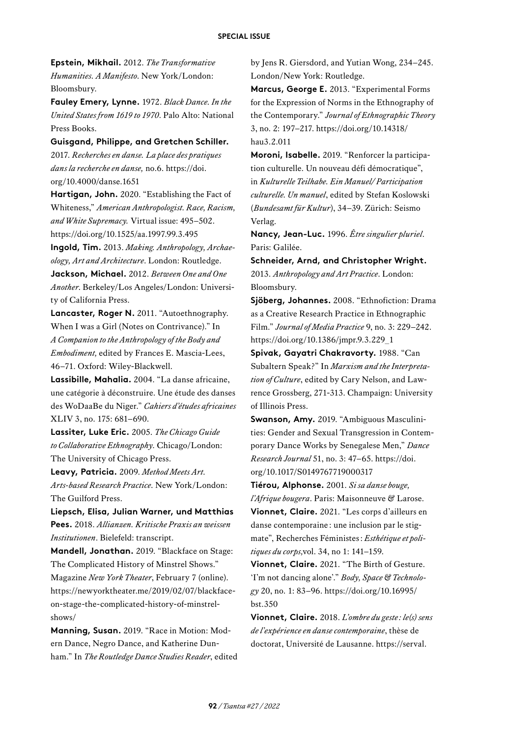**Epstein, Mikhail.** 2012. *The Transformative Humanities. A Manifesto*. New York/London: Bloomsbury.

**Fauley Emery, Lynne.** 1972. *Black Dance. In the United States from 1619 to 1970*. Palo Alto: National Press Books.

**Guisgand, Philippe, and Gretchen Schiller.** 2017. *Recherches en danse. La place des pratiques dans la recherche en danse,* no.6. [https://doi.](https://doi.org/10.4000/danse.1651) [org/10.4000/danse.1651](https://doi.org/10.4000/danse.1651)

**Hartigan, John.** 2020. "Establishing the Fact of Whiteness," *American Anthropologist. Race, Racism, and White Supremacy.* Virtual issue: 495–502. <https://doi.org/10.1525/aa.1997.99.3.495>

**Ingold, Tim.** 2013. *Making. Anthropology, Archaeology, Art and Architecture*. London: Routledge. **Jackson, Michael.** 2012. *Between One and One Another*. Berkeley/Los Angeles/London: University of California Press.

**Lancaster, Roger N.** 2011. "Autoethnography. When I was a Girl (Notes on Contrivance)." In *A Companion to the Anthropology of the Body and Embodiment,* edited by Frances E. Mascia-Lees, 46–71. Oxford: Wiley-Blackwell.

**Lassibille, Mahalia.** 2004. "La danse africaine, une catégorie à déconstruire. Une étude des danses des WoDaaBe du Niger." *Cahiers d'études africaines* XLIV 3, no. 175: 681–690.

**Lassiter, Luke Eric.** 2005. *The Chicago Guide to Collaborative Ethnography*. Chicago/London: The University of Chicago Press.

**Leavy, Patricia.** 2009. *Method Meets Art. Arts-based Research Practice*. New York/London: The Guilford Press.

**Liepsch, Elisa, Julian Warner, und Matthias Pees.** 2018. *Allianzen. Kritische Praxis an weissen Institutionen*. Bielefeld: transcript.

**Mandell, Jonathan.** 2019. "Blackface on Stage: The Complicated History of Minstrel Shows." Magazine *New York Theater*, February 7 (online). [https://newyorktheater.me/2019/02/07/blackface](https://newyorktheater.me/2019/02/07/blackface-on-stage-the-complicated-history-of-minstrel-shows/)[on-stage-the-complicated-history-of-minstrel](https://newyorktheater.me/2019/02/07/blackface-on-stage-the-complicated-history-of-minstrel-shows/)[shows/](https://newyorktheater.me/2019/02/07/blackface-on-stage-the-complicated-history-of-minstrel-shows/)

**Manning, Susan.** 2019. "Race in Motion: Modern Dance, Negro Dance, and Katherine Dunham." In *The Routledge Dance Studies Reader*, edited by Jens R. Giersdord, and Yutian Wong, 234–245. London/New York: Routledge.

**Marcus, George E.** 2013. "Experimental Forms for the Expression of Norms in the Ethnography of the Contemporary." *Journal of Ethnographic Theory* 3, no. 2: 197–217. [https://doi.org/10.14318/](https://doi.org/10.14318/hau3.2.011) [hau3.2.011](https://doi.org/10.14318/hau3.2.011)

**Moroni, Isabelle.** 2019. "Renforcer la participation culturelle. Un nouveau défi démocratique", in *Kulturelle Teilhabe. Ein Manuel/ Participation culturelle. Un manuel*, edited by Stefan Koslowski (*Bundesamt für Kultur*), 34–39. Zürich: Seismo Verlag.

**Nancy, Jean-Luc.** 1996. *Être singulier pluriel*. Paris: Galilée.

**Schneider, Arnd, and Christopher Wright.** 2013. *Anthropology and Art Practice*. London: Bloomsbury.

**Sjöberg, Johannes.** 2008. "Ethnofiction: Drama as a Creative Research Practice in Ethnographic Film." *Journal of Media Practice* 9, no. 3: 229–242. [https://doi.org/10.1386/jmpr.9.3.229\\_1](https://doi.org/10.1386/jmpr.9.3.229_1)

**Spivak, Gayatri Chakravorty.** 1988. "Can Subaltern Speak?" In *Marxism and the Interpretation of Culture*, edited by Cary Nelson, and Lawrence Grossberg, 271-313. Champaign: University of Illinois Press.

**Swanson, Amy.** 2019. "Ambiguous Masculinities: Gender and Sexual Transgression in Contemporary Dance Works by Senegalese Men," *Dance Research Journal* 51, no. 3: 47–65. [https://doi.](https://doi.org/10.1017/S0149767719000317) [org/10.1017/S0149767719000317](https://doi.org/10.1017/S0149767719000317)

**Tiérou, Alphonse.** 2001. *Si sa danse bouge, l'Afrique bougera*. Paris: Maisonneuve & Larose. **Vionnet, Claire.** 2021. "Les corps d'ailleurs en danse contemporaine : une inclusion par le stigmate", Recherches Féministes: *Esthétique et politiques du corps,*vol. 34, no 1: 141–159.

**Vionnet, Claire.** 2021. "The Birth of Gesture. 'I'm not dancing alone'." *Body, Space & Technology* 20, no. 1: 83–96. [https://doi.org/10.16995/](https://doi.org/10.16995/bst.350) [bst.350](https://doi.org/10.16995/bst.350)

**Vionnet, Claire.** 2018. *L'ombre du geste: le(s) sens de l'expérience en danse contemporaine*, thèse de doctorat, Université de Lausanne. [https://serval.](https://serval.unil.ch/resource/serval:BIB_EAF916BD2E29.P001/REF)